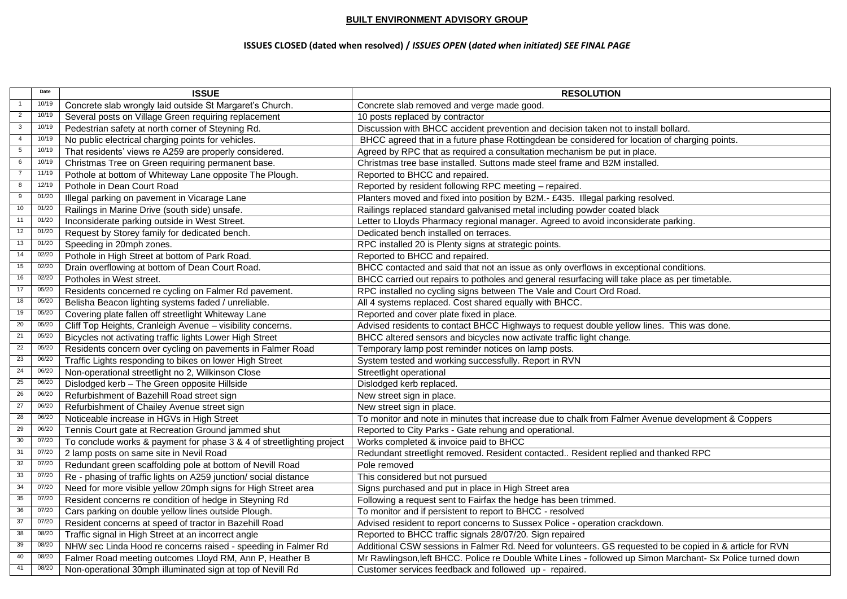## **BUILT ENVIRONMENT ADVISORY GROUP**

## **ISSUES CLOSED (dated when resolved) /** *ISSUES OPEN* **(***dated when initiated) SEE FINAL PAGE*

|                | Date  | <b>ISSUE</b>                                                          | <b>RESOLUTION</b>                                                                                          |
|----------------|-------|-----------------------------------------------------------------------|------------------------------------------------------------------------------------------------------------|
| 1              | 10/19 | Concrete slab wrongly laid outside St Margaret's Church.              | Concrete slab removed and verge made good.                                                                 |
| $\overline{2}$ | 10/19 | Several posts on Village Green requiring replacement                  | 10 posts replaced by contractor                                                                            |
| $\overline{3}$ | 10/19 | Pedestrian safety at north corner of Steyning Rd.                     | Discussion with BHCC accident prevention and decision taken not to install bollard.                        |
| $\overline{4}$ | 10/19 | No public electrical charging points for vehicles.                    | BHCC agreed that in a future phase Rottingdean be considered for location of charging points.              |
| 5 <sup>5</sup> | 10/19 | That residents' views re A259 are properly considered.                | Agreed by RPC that as required a consultation mechanism be put in place.                                   |
| 6              | 10/19 | Christmas Tree on Green requiring permanent base.                     | Christmas tree base installed. Suttons made steel frame and B2M installed.                                 |
| $\overline{7}$ | 11/19 | Pothole at bottom of Whiteway Lane opposite The Plough.               | Reported to BHCC and repaired.                                                                             |
| 8              | 12/19 | Pothole in Dean Court Road                                            | Reported by resident following RPC meeting - repaired.                                                     |
| 9              | 01/20 | Illegal parking on pavement in Vicarage Lane                          | Planters moved and fixed into position by B2M.- £435. Illegal parking resolved.                            |
| 10             | 01/20 | Railings in Marine Drive (south side) unsafe.                         | Railings replaced standard galvanised metal including powder coated black                                  |
| 11             | 01/20 | Inconsiderate parking outside in West Street.                         | Letter to Lloyds Pharmacy regional manager. Agreed to avoid inconsiderate parking.                         |
| 12             | 01/20 | Request by Storey family for dedicated bench.                         | Dedicated bench installed on terraces.                                                                     |
| 13             | 01/20 | Speeding in 20mph zones.                                              | RPC installed 20 is Plenty signs at strategic points.                                                      |
| 14             | 02/20 | Pothole in High Street at bottom of Park Road.                        | Reported to BHCC and repaired.                                                                             |
| 15             | 02/20 | Drain overflowing at bottom of Dean Court Road.                       | BHCC contacted and said that not an issue as only overflows in exceptional conditions.                     |
| 16             | 02/20 | Potholes in West street.                                              | BHCC carried out repairs to potholes and general resurfacing will take place as per timetable.             |
| 17             | 05/20 | Residents concerned re cycling on Falmer Rd pavement.                 | RPC installed no cycling signs between The Vale and Court Ord Road.                                        |
| 18             | 05/20 | Belisha Beacon lighting systems faded / unreliable.                   | All 4 systems replaced. Cost shared equally with BHCC.                                                     |
| 19             | 05/20 | Covering plate fallen off streetlight Whiteway Lane                   | Reported and cover plate fixed in place.                                                                   |
| 20             | 05/20 | Cliff Top Heights, Cranleigh Avenue - visibility concerns.            | Advised residents to contact BHCC Highways to request double yellow lines. This was done.                  |
| 21             | 05/20 | Bicycles not activating traffic lights Lower High Street              | BHCC altered sensors and bicycles now activate traffic light change.                                       |
| 22             | 05/20 | Residents concern over cycling on pavements in Falmer Road            | Temporary lamp post reminder notices on lamp posts.                                                        |
| 23             | 06/20 | Traffic Lights responding to bikes on lower High Street               | System tested and working successfully. Report in RVN                                                      |
| 24             | 06/20 | Non-operational streetlight no 2, Wilkinson Close                     | Streetlight operational                                                                                    |
| 25             | 06/20 | Dislodged kerb - The Green opposite Hillside                          | Dislodged kerb replaced.                                                                                   |
| 26             | 06/20 | Refurbishment of Bazehill Road street sign                            | New street sign in place.                                                                                  |
| $27\,$         | 06/20 | Refurbishment of Chailey Avenue street sign                           | New street sign in place.                                                                                  |
| 28             | 06/20 | Noticeable increase in HGVs in High Street                            | To monitor and note in minutes that increase due to chalk from Falmer Avenue development & Coppers         |
| 29             | 06/20 | Tennis Court gate at Recreation Ground jammed shut                    | Reported to City Parks - Gate rehung and operational.                                                      |
| $30\,$         | 07/20 | To conclude works & payment for phase 3 & 4 of streetlighting project | Works completed & invoice paid to BHCC                                                                     |
| 31             | 07/20 | 2 lamp posts on same site in Nevil Road                               | Redundant streetlight removed. Resident contacted Resident replied and thanked RPC                         |
| 32             | 07/20 | Redundant green scaffolding pole at bottom of Nevill Road             | Pole removed                                                                                               |
| 33             | 07/20 | Re - phasing of traffic lights on A259 junction/ social distance      | This considered but not pursued                                                                            |
| 34             | 07/20 | Need for more visible yellow 20mph signs for High Street area         | Signs purchased and put in place in High Street area                                                       |
| 35             | 07/20 | Resident concerns re condition of hedge in Steyning Rd                | Following a request sent to Fairfax the hedge has been trimmed.                                            |
| 36             | 07/20 | Cars parking on double yellow lines outside Plough.                   | To monitor and if persistent to report to BHCC - resolved                                                  |
| 37             | 07/20 | Resident concerns at speed of tractor in Bazehill Road                | Advised resident to report concerns to Sussex Police - operation crackdown.                                |
| 38             | 08/20 | Traffic signal in High Street at an incorrect angle                   | Reported to BHCC traffic signals 28/07/20. Sign repaired                                                   |
| 39             | 08/20 | NHW sec Linda Hood re concerns raised - speeding in Falmer Rd         | Additional CSW sessions in Falmer Rd. Need for volunteers. GS requested to be copied in & article for RVN  |
| 40             | 08/20 | Falmer Road meeting outcomes Lloyd RM, Ann P, Heather B               | Mr Rawlingson, left BHCC. Police re Double White Lines - followed up Simon Marchant- Sx Police turned down |
| 41             | 08/20 | Non-operational 30mph illuminated sign at top of Nevill Rd            | Customer services feedback and followed up - repaired.                                                     |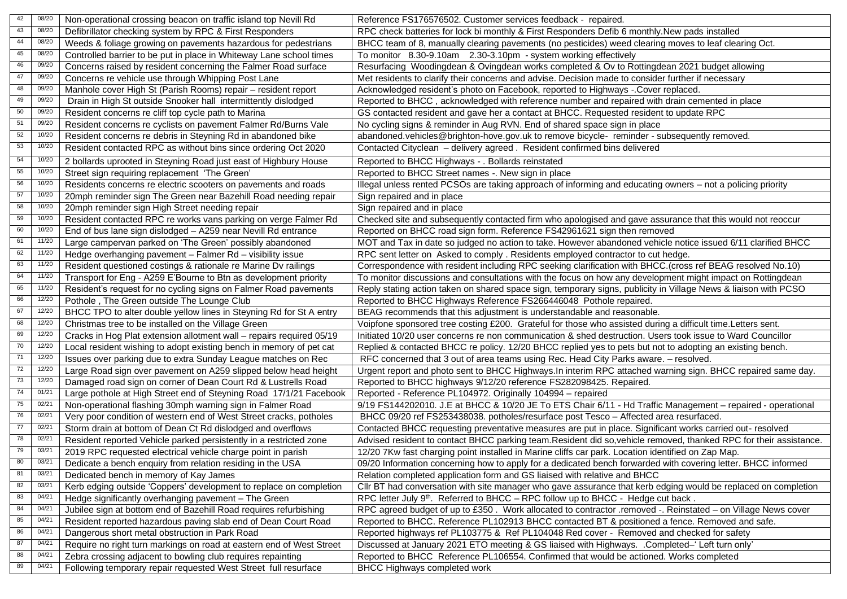| 42 | 08/20 | Non-operational crossing beacon on traffic island top Nevill Rd      | Reference FS176576502. Customer services feedback - repaired.                                                     |
|----|-------|----------------------------------------------------------------------|-------------------------------------------------------------------------------------------------------------------|
| 43 | 08/20 | Defibrillator checking system by RPC & First Responders              | RPC check batteries for lock bi monthly & First Responders Defib 6 monthly. New pads installed                    |
| 44 | 08/20 | Weeds & foliage growing on pavements hazardous for pedestrians       | BHCC team of 8, manually clearing pavements (no pesticides) weed clearing moves to leaf clearing Oct.             |
| 45 | 08/20 | Controlled barrier to be put in place in Whiteway Lane school times  | To monitor 8.30-9.10am 2.30-3.10pm - system working effectively                                                   |
| 46 | 09/20 | Concerns raised by resident concerning the Falmer Road surface       | Resurfacing Woodingdean & Ovingdean works completed & Ov to Rottingdean 2021 budget allowing                      |
| 47 | 09/20 | Concerns re vehicle use through Whipping Post Lane                   | Met residents to clarify their concerns and advise. Decision made to consider further if necessary                |
| 48 | 09/20 | Manhole cover High St (Parish Rooms) repair - resident report        | Acknowledged resident's photo on Facebook, reported to Highways -. Cover replaced.                                |
| 49 | 09/20 | Drain in High St outside Snooker hall intermittently dislodged       | Reported to BHCC, acknowledged with reference number and repaired with drain cemented in place                    |
| 50 | 09/20 | Resident concerns re cliff top cycle path to Marina                  | GS contacted resident and gave her a contact at BHCC. Requested resident to update RPC                            |
| 51 | 09/20 | Resident concerns re cyclists on pavement Falmer Rd/Burns Vale       | No cycling signs & reminder in Aug RVN. End of shared space sign in place                                         |
| 52 | 10/20 | Resident concerns re debris in Steyning Rd in abandoned bike         | abandoned.vehicles@brighton-hove.gov.uk to remove bicycle- reminder - subsequently removed.                       |
| 53 | 10/20 | Resident contacted RPC as without bins since ordering Oct 2020       | Contacted Cityclean - delivery agreed. Resident confirmed bins delivered                                          |
| 54 | 10/20 | 2 bollards uprooted in Steyning Road just east of Highbury House     | Reported to BHCC Highways - . Bollards reinstated                                                                 |
| 55 | 10/20 | Street sign requiring replacement 'The Green'                        | Reported to BHCC Street names -. New sign in place                                                                |
| 56 | 10/20 | Residents concerns re electric scooters on pavements and roads       | Illegal unless rented PCSOs are taking approach of informing and educating owners - not a policing priority       |
| 57 | 10/20 | 20mph reminder sign The Green near Bazehill Road needing repair      | Sign repaired and in place                                                                                        |
| 58 | 10/20 | 20mph reminder sign High Street needing repair                       | Sign repaired and in place                                                                                        |
| 59 | 10/20 | Resident contacted RPC re works vans parking on verge Falmer Rd      | Checked site and subsequently contacted firm who apologised and gave assurance that this would not reoccur        |
| 60 | 10/20 | End of bus lane sign dislodged - A259 near Nevill Rd entrance        | Reported on BHCC road sign form. Reference FS42961621 sign then removed                                           |
| 61 | 11/20 | Large campervan parked on 'The Green' possibly abandoned             | MOT and Tax in date so judged no action to take. However abandoned vehicle notice issued 6/11 clarified BHCC      |
| 62 | 11/20 | Hedge overhanging pavement - Falmer Rd - visibility issue            | RPC sent letter on Asked to comply . Residents employed contractor to cut hedge.                                  |
| 63 | 11/20 | Resident questioned costings & rationale re Marine Dv railings       | Correspondence with resident including RPC seeking clarification with BHCC.(cross ref BEAG resolved No.10)        |
| 64 | 11/20 | Transport for Eng - A259 E'Bourne to Btn as development priority     | To monitor discussions and consultations with the focus on how any development might impact on Rottingdean        |
| 65 | 11/20 | Resident's request for no cycling signs on Falmer Road pavements     | Reply stating action taken on shared space sign, temporary signs, publicity in Village News & liaison with PCSO   |
| 66 | 12/20 | Pothole, The Green outside The Lounge Club                           | Reported to BHCC Highways Reference FS266446048 Pothole repaired.                                                 |
| 67 | 12/20 | BHCC TPO to alter double yellow lines in Steyning Rd for St A entry  | BEAG recommends that this adjustment is understandable and reasonable.                                            |
| 68 | 12/20 | Christmas tree to be installed on the Village Green                  | Voipfone sponsored tree costing £200. Grateful for those who assisted during a difficult time. Letters sent.      |
| 69 | 12/20 | Cracks in Hog Plat extension allotment wall - repairs required 05/19 | Initiated 10/20 user concerns re non communication & shed destruction. Users took issue to Ward Councillor        |
| 70 | 12/20 | Local resident wishing to adopt existing bench in memory of pet cat  | Replied & contacted BHCC re policy. 12/20 BHCC replied yes to pets but not to adopting an existing bench.         |
| 71 | 12/20 | Issues over parking due to extra Sunday League matches on Rec        | RFC concerned that 3 out of area teams using Rec. Head City Parks aware. - resolved.                              |
| 72 | 12/20 | Large Road sign over pavement on A259 slipped below head height      | Urgent report and photo sent to BHCC Highways. In interim RPC attached warning sign. BHCC repaired same day.      |
| 73 | 12/20 | Damaged road sign on corner of Dean Court Rd & Lustrells Road        | Reported to BHCC highways 9/12/20 reference FS282098425. Repaired.                                                |
| 74 | 01/21 | Large pothole at High Street end of Steyning Road 17/1/21 Facebook   | Reported - Reference PL104972. Originally 104994 - repaired                                                       |
| 75 | 02/21 | Non-operational flashing 30mph warning sign in Falmer Road           | 9/19 FS144202010. J.E at BHCC & 10/20 JE To ETS Chair 6/11 - Hd Traffic Management - repaired - operational       |
| 76 | 02/21 | Very poor condition of western end of West Street cracks, potholes   | BHCC 09/20 ref FS253438038. potholes/resurface post Tesco - Affected area resurfaced.                             |
| 77 | 02/21 | Storm drain at bottom of Dean Ct Rd dislodged and overflows          | Contacted BHCC requesting preventative measures are put in place. Significant works carried out- resolved         |
| 78 | 02/21 | Resident reported Vehicle parked persistently in a restricted zone   | Advised resident to contact BHCC parking team.Resident did so, vehicle removed, thanked RPC for their assistance. |
| 79 | 03/21 | 2019 RPC requested electrical vehicle charge point in parish         | 12/20 7Kw fast charging point installed in Marine cliffs car park. Location identified on Zap Map.                |
| 80 | 03/21 | Dedicate a bench enquiry from relation residing in the USA           | 09/20 Information concerning how to apply for a dedicated bench forwarded with covering letter. BHCC informed     |
| 81 | 03/21 | Dedicated bench in memory of Kay James                               | Relation completed application form and GS liaised with relative and BHCC                                         |
| 82 | 03/21 | Kerb edging outside 'Coppers' development to replace on completion   | CIIr BT had conversation with site manager who gave assurance that kerb edging would be replaced on completion    |
| 83 | 04/21 | Hedge significantly overhanging pavement - The Green                 | RPC letter July 9 <sup>th</sup> . Referred to BHCC - RPC follow up to BHCC - Hedge cut back.                      |
| 84 | 04/21 | Jubilee sign at bottom end of Bazehill Road requires refurbishing    | RPC agreed budget of up to £350. Work allocated to contractor .removed -. Reinstated - on Village News cover      |
| 85 | 04/21 | Resident reported hazardous paving slab end of Dean Court Road       | Reported to BHCC. Reference PL102913 BHCC contacted BT & positioned a fence. Removed and safe.                    |
| 86 | 04/21 | Dangerous short metal obstruction in Park Road                       | Reported highways ref PL103775 & Ref PL104048 Red cover - Removed and checked for safety                          |
| 87 | 04/21 | Require no right turn markings on road at eastern end of West Street | Discussed at January 2021 ETO meeting & GS liaised with Highways. .Completed-' Left turn only'                    |
| 88 | 04/21 | Zebra crossing adjacent to bowling club requires repainting          | Reported to BHCC Reference PL106554. Confirmed that would be actioned. Works completed                            |
| 89 | 04/21 | Following temporary repair requested West Street full resurface      | BHCC Highways completed work                                                                                      |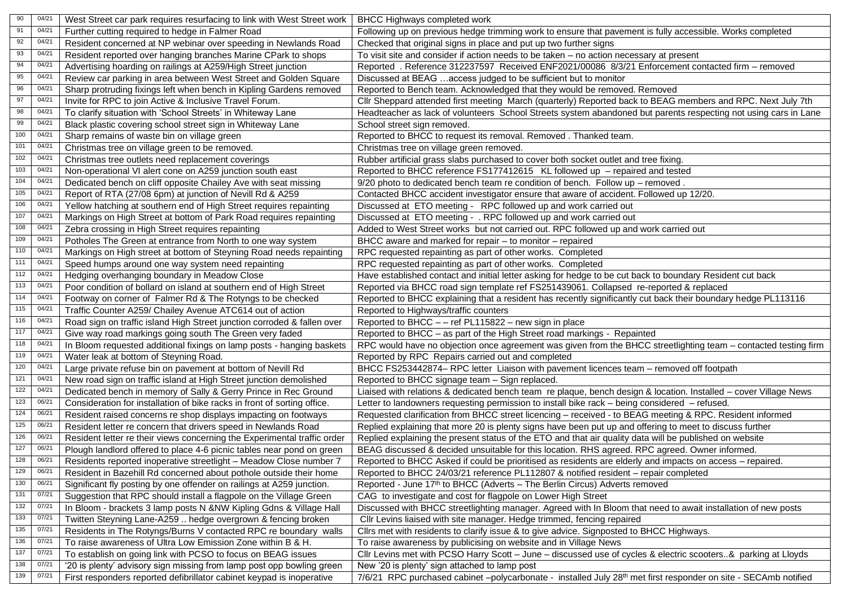| 90                | 04/21    | West Street car park requires resurfacing to link with West Street work  | <b>BHCC Highways completed work</b>                                                                                         |
|-------------------|----------|--------------------------------------------------------------------------|-----------------------------------------------------------------------------------------------------------------------------|
| 91                | 04/21    | Further cutting required to hedge in Falmer Road                         | Following up on previous hedge trimming work to ensure that pavement is fully accessible. Works completed                   |
| 92                | 04/21    | Resident concerned at NP webinar over speeding in Newlands Road          | Checked that original signs in place and put up two further signs                                                           |
| 93                | $04/2^7$ | Resident reported over hanging branches Marine CPark to shops            | To visit site and consider if action needs to be taken - no action necessary at present                                     |
| 94                | $04/2^7$ | Advertising hoarding on railings at A259/High Street junction            | Reported . Reference 312237597 Received ENF2021/00086 8/3/21 Enforcement contacted firm - removed                           |
| $95\,$            | $04/2^7$ | Review car parking in area between West Street and Golden Square         | Discussed at BEAG  access judged to be sufficient but to monitor                                                            |
| $96\,$            | 04/21    | Sharp protruding fixings left when bench in Kipling Gardens removed      | Reported to Bench team. Acknowledged that they would be removed. Removed                                                    |
| 97                | 04/21    | Invite for RPC to join Active & Inclusive Travel Forum.                  | Cllr Sheppard attended first meeting March (quarterly) Reported back to BEAG members and RPC. Next July 7th                 |
| 98                | 04/21    | To clarify situation with 'School Streets' in Whiteway Lane              | Headteacher as lack of volunteers School Streets system abandoned but parents respecting not using cars in Lane             |
| 99                | 04/2     | Black plastic covering school street sign in Whiteway Lane               | School street sign removed.                                                                                                 |
| 100               | 04/21    | Sharp remains of waste bin on village green                              | Reported to BHCC to request its removal. Removed . Thanked team.                                                            |
| 101               | $04/2^7$ | Christmas tree on village green to be removed.                           | Christmas tree on village green removed.                                                                                    |
| 102               | 04/21    | Christmas tree outlets need replacement coverings                        | Rubber artificial grass slabs purchased to cover both socket outlet and tree fixing.                                        |
| 103               | 04/21    | Non-operational VI alert cone on A259 junction south east                | Reported to BHCC reference FS177412615 KL followed up - repaired and tested                                                 |
| 104               | 04/21    | Dedicated bench on cliff opposite Chailey Ave with seat missing          | 9/20 photo to dedicated bench team re condition of bench. Follow up - removed.                                              |
| 105               | 04/21    | Report of RTA (27/08 6pm) at junction of Nevill Rd & A259                | Contacted BHCC accident investigator ensure that aware of accident. Followed up 12/20.                                      |
| $\frac{106}{2}$   | 04/21    | Yellow hatching at southern end of High Street requires repainting       | Discussed at ETO meeting - RPC followed up and work carried out                                                             |
| 107               | 04/21    | Markings on High Street at bottom of Park Road requires repainting       | Discussed at ETO meeting - . RPC followed up and work carried out                                                           |
| 108               | $04/2^7$ | Zebra crossing in High Street requires repainting                        | Added to West Street works but not carried out. RPC followed up and work carried out                                        |
| 109               | 04/21    | Potholes The Green at entrance from North to one way system              | BHCC aware and marked for repair - to monitor - repaired                                                                    |
| 110               | 04/21    | Markings on High street at bottom of Steyning Road needs repainting      | RPC requested repainting as part of other works. Completed                                                                  |
| 111               | 04/21    | Speed humps around one way system need repainting                        | RPC requested repainting as part of other works. Completed                                                                  |
| 112               | 04/21    | Hedging overhanging boundary in Meadow Close                             | Have established contact and initial letter asking for hedge to be cut back to boundary Resident cut back                   |
| 113               | 04/21    | Poor condition of bollard on island at southern end of High Street       | Reported via BHCC road sign template ref FS251439061. Collapsed re-reported & replaced                                      |
| $\frac{114}{114}$ | 04/2     | Footway on corner of Falmer Rd & The Rotyngs to be checked               | Reported to BHCC explaining that a resident has recently significantly cut back their boundary hedge PL113116               |
| $\overline{115}$  | 04/21    | Traffic Counter A259/ Chailey Avenue ATC614 out of action                | Reported to Highways/traffic counters                                                                                       |
| 116               | 04/21    | Road sign on traffic island High Street junction corroded & fallen over  | Reported to BHCC - - ref PL115822 - new sign in place                                                                       |
| 117               | 04/21    | Give way road markings going south The Green very faded                  | Reported to BHCC - as part of the High Street road markings - Repainted                                                     |
| 118               | 04/21    | In Bloom requested additional fixings on lamp posts - hanging baskets    | RPC would have no objection once agreement was given from the BHCC streetlighting team - contacted testing firm             |
| 119               | 04/21    | Water leak at bottom of Steyning Road.                                   | Reported by RPC Repairs carried out and completed                                                                           |
| 120               | 04/21    | Large private refuse bin on pavement at bottom of Nevill Rd              | BHCC FS253442874- RPC letter Liaison with pavement licences team - removed off footpath                                     |
| 121               | $04/2^7$ | New road sign on traffic island at High Street junction demolished       | Reported to BHCC signage team - Sign replaced.                                                                              |
| $\overline{122}$  | 04/21    | Dedicated bench in memory of Sally & Gerry Prince in Rec Ground          | Liaised with relations & dedicated bench team re plaque, bench design & location. Installed - cover Village News            |
| 123               | 06/21    | Consideration for installation of bike racks in front of sorting office. | Letter to landowners requesting permission to install bike rack - being considered - refused.                               |
| 124               | 06/21    | Resident raised concerns re shop displays impacting on footways          | Requested clarification from BHCC street licencing - received - to BEAG meeting & RPC. Resident informed                    |
| $\overline{125}$  | 06/21    | Resident letter re concern that drivers speed in Newlands Road           | Replied explaining that more 20 is plenty signs have been put up and offering to meet to discuss further                    |
| 126               | 06/21    | Resident letter re their views concerning the Experimental traffic order | Replied explaining the present status of the ETO and that air quality data will be published on website                     |
| 127               | 06/21    | Plough landlord offered to place 4-6 picnic tables near pond on green    | BEAG discussed & decided unsuitable for this location. RHS agreed. RPC agreed. Owner informed.                              |
| 128               | 06/21    | Residents reported inoperative streetlight - Meadow Close number 7       | Reported to BHCC Asked if could be prioritised as residents are elderly and impacts on access - repaired.                   |
| 129               | 06/21    | Resident in Bazehill Rd concerned about pothole outside their home       | Reported to BHCC 24/03/21 reference PL112807 & notified resident - repair completed                                         |
| 130               | 06/21    | Significant fly posting by one offender on railings at A259 junction.    | Reported - June 17th to BHCC (Adverts - The Berlin Circus) Adverts removed                                                  |
| $\overline{131}$  | 07/21    | Suggestion that RPC should install a flagpole on the Village Green       | CAG to investigate and cost for flagpole on Lower High Street                                                               |
| 132               | 07/21    | In Bloom - brackets 3 lamp posts N &NW Kipling Gdns & Village Hall       | Discussed with BHCC streetlighting manager. Agreed with In Bloom that need to await installation of new posts               |
| $\overline{133}$  | 07/21    | Twitten Steyning Lane-A259  hedge overgrown & fencing broken             | Cllr Levins liaised with site manager. Hedge trimmed, fencing repaired                                                      |
| 135               | 07/21    | Residents in The Rotyngs/Burns V contacted RPC re boundary walls         | Cllrs met with residents to clarify issue & to give advice. Signposted to BHCC Highways.                                    |
| 136               | 07/21    | To raise awareness of Ultra Low Emission Zone within B & H.              | To raise awareness by publicising on website and in Village News                                                            |
| 137               | 07/21    | To establish on going link with PCSO to focus on BEAG issues             | Cllr Levins met with PCSO Harry Scott - June - discussed use of cycles & electric scooters& parking at Lloyds               |
| 138               | 07/21    | '20 is plenty' advisory sign missing from lamp post opp bowling green    | New '20 is plenty' sign attached to lamp post                                                                               |
| 139               | 07/21    | First responders reported defibrillator cabinet keypad is inoperative    | 7/6/21 RPC purchased cabinet -polycarbonate - installed July 28 <sup>th</sup> met first responder on site - SECAmb notified |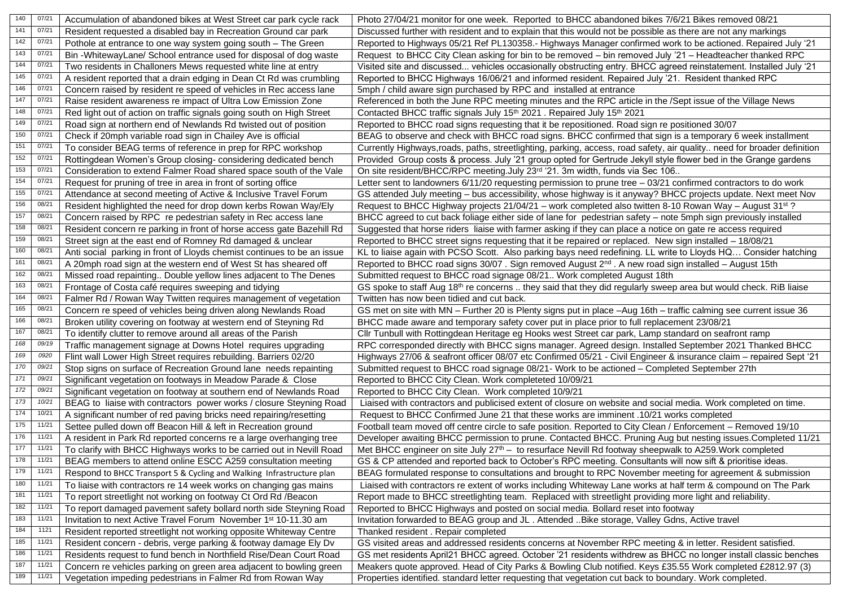| 140              | 07/21 | Accumulation of abandoned bikes at West Street car park cycle rack          | Photo 27/04/21 monitor for one week. Reported to BHCC abandoned bikes 7/6/21 Bikes removed 08/21                             |
|------------------|-------|-----------------------------------------------------------------------------|------------------------------------------------------------------------------------------------------------------------------|
| 141              | 07/21 | Resident requested a disabled bay in Recreation Ground car park             | Discussed further with resident and to explain that this would not be possible as there are not any markings                 |
| $\frac{1}{142}$  | 07/21 | Pothole at entrance to one way system going south - The Green               | Reported to Highways 05/21 Ref PL130358.- Highways Manager confirmed work to be actioned. Repaired July '21                  |
| $\overline{143}$ | 07/21 | Bin -WhitewayLane/ School entrance used for disposal of dog waste           | Request to BHCC City Clean asking for bin to be removed - bin removed July '21 - Headteacher thanked RPC                     |
| $144$            | 07/21 | Two residents in Challoners Mews requested white line at entry              | Visited site and discussed vehicles occasionally obstructing entry. BHCC agreed reinstatement. Installed July '21            |
| $\overline{145}$ | 07/21 | A resident reported that a drain edging in Dean Ct Rd was crumbling         | Reported to BHCC Highways 16/06/21 and informed resident. Repaired July '21. Resident thanked RPC                            |
| $\frac{146}{1}$  | 07/21 | Concern raised by resident re speed of vehicles in Rec access lane          | 5mph / child aware sign purchased by RPC and installed at entrance                                                           |
| 147              | 07/21 | Raise resident awareness re impact of Ultra Low Emission Zone               | Referenced in both the June RPC meeting minutes and the RPC article in the /Sept issue of the Village News                   |
| 148              | 07/21 | Red light out of action on traffic signals going south on High Street       | Contacted BHCC traffic signals July 15th 2021. Repaired July 15th 2021                                                       |
| 149              | 07/21 | Road sign at northern end of Newlands Rd twisted out of position            | Reported to BHCC road signs requesting that it be repositioned. Road sign re positioned 30/07                                |
| 150              | 07/21 | Check if 20mph variable road sign in Chailey Ave is official                | BEAG to observe and check with BHCC road signs. BHCC confirmed that sign is a temporary 6 week installment                   |
| 151              | 07/21 | To consider BEAG terms of reference in prep for RPC workshop                | Currently Highways, roads, paths, streetlighting, parking, access, road safety, air quality need for broader definition      |
| 152              | 07/21 | Rottingdean Women's Group closing-considering dedicated bench               | Provided Group costs & process. July '21 group opted for Gertrude Jekyll style flower bed in the Grange gardens              |
| 153              | 07/21 | Consideration to extend Falmer Road shared space south of the Vale          | On site resident/BHCC/RPC meeting.July 23rd '21. 3m width, funds via Sec 106                                                 |
| 154              | 07/21 | Request for pruning of tree in area in front of sorting office              | Letter sent to landowners 6/11/20 requesting permission to prune tree - 03/21 confirmed contractors to do work               |
| 155              | 07/21 | Attendance at second meeting of Active & Inclusive Travel Forum             | GS attended July meeting - bus accessibility, whose highway is it anyway? BHCC projects update. Next meet Nov                |
| 156              | 08/21 | Resident highlighted the need for drop down kerbs Rowan Way/Ely             | Request to BHCC Highway projects 21/04/21 - work completed also twitten 8-10 Rowan Way - August 31 <sup>st</sup> ?           |
| 157              | 08/21 | Concern raised by RPC re pedestrian safety in Rec access lane               | BHCC agreed to cut back foliage either side of lane for pedestrian safety - note 5mph sign previously installed              |
| 158              | 08/21 | Resident concern re parking in front of horse access gate Bazehill Rd       | Suggested that horse riders liaise with farmer asking if they can place a notice on gate re access required                  |
| 159              | 08/21 | Street sign at the east end of Romney Rd damaged & unclear                  | Reported to BHCC street signs requesting that it be repaired or replaced. New sign installed - 18/08/21                      |
| 160              | 08/21 | Anti social parking in front of Lloyds chemist continues to be an issue     | KL to liaise again with PCSO Scott. Also parking bays need redefining. LL write to Lloyds HQ Consider hatching               |
| 161              | 08/21 | A 20mph road sign at the western end of West St has sheared off             | Reported to BHCC road signs 30/07 . Sign removed August 2 <sup>nd</sup> . A new road sign installed - August 15th            |
| 162              | 08/21 | Missed road repainting Double yellow lines adjacent to The Denes            | Submitted request to BHCC road signage 08/21 Work completed August 18th                                                      |
| $\overline{163}$ | 08/21 | Frontage of Costa café requires sweeping and tidying                        | GS spoke to staff Aug 18 <sup>th</sup> re concerns  they said that they did regularly sweep area but would check. RiB liaise |
| 164              | 08/2  | Falmer Rd / Rowan Way Twitten requires management of vegetation             | Twitten has now been tidied and cut back.                                                                                    |
| 165              | 08/21 | Concern re speed of vehicles being driven along Newlands Road               | GS met on site with MN - Further 20 is Plenty signs put in place -Aug 16th - traffic calming see current issue 36            |
| 166              | 08/21 | Broken utility covering on footway at western end of Steyning Rd            | BHCC made aware and temporary safety cover put in place prior to full replacement 23/08/21                                   |
| 167              | 08/21 | To identify clutter to remove around all areas of the Parish                | Cllr Tunbull with Rottingdean Heritage eg Hooks west Street car park, Lamp standard on seafront ramp                         |
| 168              | 09/19 | Traffic management signage at Downs Hotel requires upgrading                | RPC corresponded directly with BHCC signs manager. Agreed design. Installed September 2021 Thanked BHCC                      |
| 169              | 0920  | Flint wall Lower High Street requires rebuilding. Barriers 02/20            | Highways 27/06 & seafront officer 08/07 etc Confirmed 05/21 - Civil Engineer & insurance claim - repaired Sept '21           |
| 170              | 09/2  | Stop signs on surface of Recreation Ground lane needs repainting            | Submitted request to BHCC road signage 08/21- Work to be actioned - Completed September 27th                                 |
| 171              | 09/2  | Significant vegetation on footways in Meadow Parade & Close                 | Reported to BHCC City Clean. Work completeted 10/09/21                                                                       |
| $\frac{1}{172}$  | 09/21 | Significant vegetation on footway at southern end of Newlands Road          | Reported to BHCC City Clean. Work completed 10/9/21                                                                          |
| 173              | 10/21 | BEAG to liaise with contractors power works / closure Steyning Road         | Liaised with contractors and publicised extent of closure on website and social media. Work completed on time.               |
| 174              | 10/21 | A significant number of red paving bricks need repairing/resetting          | Request to BHCC Confirmed June 21 that these works are imminent .10/21 works completed                                       |
| $\overline{175}$ | 11/21 | Settee pulled down off Beacon Hill & left in Recreation ground              | Football team moved off centre circle to safe position. Reported to City Clean / Enforcement - Removed 19/10                 |
| $\frac{176}{2}$  | 11/21 | A resident in Park Rd reported concerns re a large overhanging tree         | Developer awaiting BHCC permission to prune. Contacted BHCC. Pruning Aug but nesting issues. Completed 11/21                 |
| 177              | 11/21 | To clarify with BHCC Highways works to be carried out in Nevill Road        | Met BHCC engineer on site July 27 <sup>th</sup> – to resurface Nevill Rd footway sheepwalk to A259. Work completed           |
| 178              | 11/21 | BEAG members to attend online ESCC A259 consultation meeting                | GS & CP attended and reported back to October's RPC meeting. Consultants will now sift & prioritise ideas.                   |
| 179              | 11/21 | Respond to BHCC Transport 5 & Cycling and Walking Infrastructure plan       | BEAG formulated response to consultations and brought to RPC November meeting for agreement & submission                     |
| 180              | 11/21 | To liaise with contractors re 14 week works on changing gas mains           | Liaised with contractors re extent of works including Whiteway Lane works at half term & compound on The Park                |
| 181              | 11/21 | To report streetlight not working on footway Ct Ord Rd /Beacon              | Report made to BHCC streetlighting team. Replaced with streetlight providing more light and reliability.                     |
| $\overline{182}$ | 11/21 | To report damaged pavement safety bollard north side Steyning Road          | Reported to BHCC Highways and posted on social media. Bollard reset into footway                                             |
| 183              | 11/21 | Invitation to next Active Travel Forum November 1 <sup>st</sup> 10-11.30 am | Invitation forwarded to BEAG group and JL . Attended Bike storage, Valley Gdns, Active travel                                |
| 184              | 1121  | Resident reported streetlight not working opposite Whiteway Centre          | Thanked resident . Repair completed                                                                                          |
| 185              | 11/21 | Resident concern - debris, verge parking & footway damage Ely Dv            | GS visited areas and addressed residents concerns at November RPC meeting & in letter. Resident satisfied.                   |
| 186              | 11/21 | Residents request to fund bench in Northfield Rise/Dean Court Road          | GS met residents April21 BHCC agreed. October '21 residents withdrew as BHCC no longer install classic benches               |
| 187              | 11/21 | Concern re vehicles parking on green area adjacent to bowling green         | Meakers quote approved. Head of City Parks & Bowling Club notified. Keys £35.55 Work completed £2812.97 (3)                  |
| 189              | 11/21 | Vegetation impeding pedestrians in Falmer Rd from Rowan Way                 | Properties identified. standard letter requesting that vegetation cut back to boundary. Work completed.                      |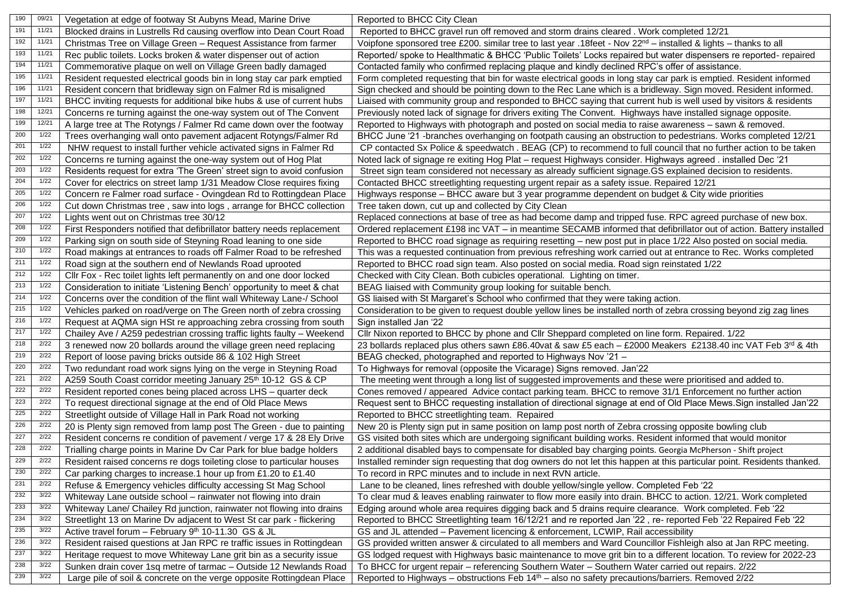| 190              | 09/21  | Vegetation at edge of footway St Aubyns Mead, Marine Drive             | Reported to BHCC City Clean                                                                                                 |
|------------------|--------|------------------------------------------------------------------------|-----------------------------------------------------------------------------------------------------------------------------|
| 191              | 11/21  | Blocked drains in Lustrells Rd causing overflow into Dean Court Road   | Reported to BHCC gravel run off removed and storm drains cleared . Work completed 12/21                                     |
| 192              | 11/21  | Christmas Tree on Village Green - Request Assistance from farmer       | Voipfone sponsored tree £200. similar tree to last year .18feet - Nov 22 <sup>nd</sup> – installed & lights – thanks to all |
| 193              | 11/21  | Rec public toilets. Locks broken & water dispenser out of action       | Reported/ spoke to Healthmatic & BHCC 'Public Toilets' Locks repaired but water dispensers re reported- repaired            |
| 194              | 11/21  | Commemorative plaque on well on Village Green badly damaged            | Contacted family who confirmed replacing plaque and kindly declined RPC's offer of assistance.                              |
| 195              | 11/21  | Resident requested electrical goods bin in long stay car park emptied  | Form completed requesting that bin for waste electrical goods in long stay car park is emptied. Resident informed           |
| 196              | 11/21  | Resident concern that bridleway sign on Falmer Rd is misaligned        | Sign checked and should be pointing down to the Rec Lane which is a bridleway. Sign moved. Resident informed.               |
| 197              | 11/21  | BHCC inviting requests for additional bike hubs & use of current hubs  | Liaised with community group and responded to BHCC saying that current hub is well used by visitors & residents             |
| 198              | 12/21  | Concerns re turning against the one-way system out of The Convent      | Previously noted lack of signage for drivers exiting The Convent. Highways have installed signage opposite.                 |
| 199              | 12/21  | A large tree at The Rotyngs / Falmer Rd came down over the footway     | Reported to Highways with photograph and posted on social media to raise awareness - sawn & removed.                        |
| 200              | 1/22   | Trees overhanging wall onto pavement adjacent Rotyngs/Falmer Rd        | BHCC June '21 -branches overhanging on footpath causing an obstruction to pedestrians. Works completed 12/21                |
| 201              | 1/22   | NHW request to install further vehicle activated signs in Falmer Rd    | CP contacted Sx Police & speedwatch . BEAG (CP) to recommend to full council that no further action to be taken             |
| 202              | 1/22   | Concerns re turning against the one-way system out of Hog Plat         | Noted lack of signage re exiting Hog Plat - request Highways consider. Highways agreed . installed Dec '21                  |
| 203              | 1/22   | Residents request for extra 'The Green' street sign to avoid confusion | Street sign team considered not necessary as already sufficient signage. GS explained decision to residents.                |
| 204              | 1/22   | Cover for electrics on street lamp 1/31 Meadow Close requires fixing   | Contacted BHCC streetlighting requesting urgent repair as a safety issue. Repaired 12/21                                    |
| 205              | 1/22   | Concern re Falmer road surface - Ovingdean Rd to Rottingdean Place     | Highways response - BHCC aware but 3 year programme dependent on budget & City wide priorities                              |
| 206              | 1/22   | Cut down Christmas tree, saw into logs, arrange for BHCC collection    | Tree taken down, cut up and collected by City Clean                                                                         |
| 207              | 1/22   | Lights went out on Christmas tree 30/12                                | Replaced connections at base of tree as had become damp and tripped fuse. RPC agreed purchase of new box.                   |
| 208              | 1/22   | First Responders notified that defibrillator battery needs replacement | Ordered replacement £198 inc VAT - in meantime SECAMB informed that defibrillator out of action. Battery installed          |
| 209              | 1/22   | Parking sign on south side of Steyning Road leaning to one side        | Reported to BHCC road signage as requiring resetting – new post put in place 1/22 Also posted on social media.              |
| 210              | 1/22   | Road makings at entrances to roads off Falmer Road to be refreshed     | This was a requested continuation from previous refreshing work carried out at entrance to Rec. Works completed             |
| 211              | 1/22   | Road sign at the southern end of Newlands Road uprooted                | Reported to BHCC road sign team. Also posted on social media. Road sign reinstated 1/22                                     |
| 212              | 1/22   | Cllr Fox - Rec toilet lights left permanently on and one door locked   | Checked with City Clean. Both cubicles operational. Lighting on timer.                                                      |
| 213              | 1/22   | Consideration to initiate 'Listening Bench' opportunity to meet & chat | BEAG liaised with Community group looking for suitable bench.                                                               |
| 214              | 1/22   | Concerns over the condition of the flint wall Whiteway Lane-/ School   | GS liaised with St Margaret's School who confirmed that they were taking action.                                            |
| $\overline{215}$ | 1/22   | Vehicles parked on road/verge on The Green north of zebra crossing     | Consideration to be given to request double yellow lines be installed north of zebra crossing beyond zig zag lines          |
| 216              | 1/22   | Request at AQMA sign HSt re approaching zebra crossing from south      | Sign installed Jan '22                                                                                                      |
| 217              | 1/22   | Chailey Ave / A259 pedestrian crossing traffic lights faulty - Weekend | Cllr Nixon reported to BHCC by phone and Cllr Sheppard completed on line form. Repaired. 1/22                               |
| 218              | 2/22   | 3 renewed now 20 bollards around the village green need replacing      | 23 bollards replaced plus others sawn £86.40vat & saw £5 each - £2000 Meakers £2138.40 inc VAT Feb 3rd & 4th                |
| 219              | 2/22   | Report of loose paving bricks outside 86 & 102 High Street             | BEAG checked, photographed and reported to Highways Nov '21 -                                                               |
| 220              | 2/22   | Two redundant road work signs lying on the verge in Steyning Road      | To Highways for removal (opposite the Vicarage) Signs removed. Jan'22                                                       |
| 221              | 2/22   | A259 South Coast corridor meeting January 25th 10-12 GS & CP           | The meeting went through a long list of suggested improvements and these were prioritised and added to.                     |
| 222              | 2/22   | Resident reported cones being placed across LHS - quarter deck         | Cones removed / appeared Advice contact parking team. BHCC to remove 31/1 Enforcement no further action                     |
| 223              | 2/22   | To request directional signage at the end of Old Place Mews            | Request sent to BHCC requesting installation of directional signage at end of Old Place Mews. Sign installed Jan'22         |
| 225              | 2/22   | Streetlight outside of Village Hall in Park Road not working           | Reported to BHCC streetlighting team. Repaired                                                                              |
| 226              | 2/22   | 20 is Plenty sign removed from lamp post The Green - due to painting   | New 20 is Plenty sign put in same position on lamp post north of Zebra crossing opposite bowling club                       |
| 227              | 2/22   | Resident concerns re condition of pavement / verge 17 & 28 Ely Drive   | GS visited both sites which are undergoing significant building works. Resident informed that would monitor                 |
| 228              | 2/22   | Trialling charge points in Marine Dv Car Park for blue badge holders   | 2 additional disabled bays to compensate for disabled bay charging points. Georgia McPherson - Shift project                |
| 229              | $2/22$ | Resident raised concerns re dogs toileting close to particular houses  | Installed reminder sign requesting that dog owners do not let this happen at this particular point. Residents thanked.      |
| 230              | 2/22   | Car parking charges to increase.1 hour up from £1.20 to £1.40          | To record in RPC minutes and to include in next RVN article.                                                                |
| 231              | 2/22   | Refuse & Emergency vehicles difficulty accessing St Mag School         | Lane to be cleaned, lines refreshed with double yellow/single yellow. Completed Feb '22                                     |
| 232              | 3/22   | Whiteway Lane outside school - rainwater not flowing into drain        | To clear mud & leaves enabling rainwater to flow more easily into drain. BHCC to action. 12/21. Work completed              |
| 233              | 3/22   | Whiteway Lane/ Chailey Rd junction, rainwater not flowing into drains  | Edging around whole area requires digging back and 5 drains require clearance. Work completed. Feb '22                      |
| 234              | 3/22   | Streetlight 13 on Marine Dv adjacent to West St car park - flickering  | Reported to BHCC Streetlighting team 16/12/21 and re reported Jan '22, re- reported Feb '22 Repaired Feb '22                |
| 235              | 3/22   | Active travel forum - February 9th 10-11.30 GS & JL                    | GS and JL attended - Pavement licencing & enforcement, LCWIP, Rail accessibility                                            |
| 236              | 3/22   | Resident raised questions at Jan RPC re traffic issues in Rottingdean  | GS provided written answer & circulated to all members and Ward Councillor Fishleigh also at Jan RPC meeting.               |
| 237              | 3/22   | Heritage request to move Whiteway Lane grit bin as a security issue    | GS lodged request with Highways basic maintenance to move grit bin to a different location. To review for 2022-23           |
| 238              | 3/22   | Sunken drain cover 1sq metre of tarmac - Outside 12 Newlands Road      | To BHCC for urgent repair - referencing Southern Water - Southern Water carried out repairs. 2/22                           |
| 239              | 3/22   | Large pile of soil & concrete on the verge opposite Rottingdean Place  | Reported to Highways - obstructions Feb 14 <sup>th</sup> - also no safety precautions/barriers. Removed 2/22                |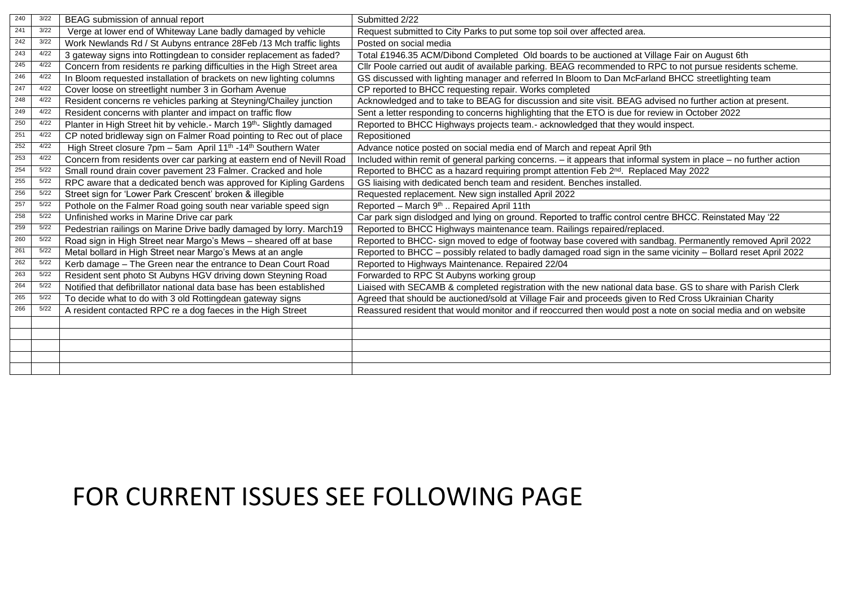| 240 | 3/22 | BEAG submission of annual report                                                      | Submitted 2/22                                                                                                    |
|-----|------|---------------------------------------------------------------------------------------|-------------------------------------------------------------------------------------------------------------------|
| 241 | 3/22 | Verge at lower end of Whiteway Lane badly damaged by vehicle                          | Request submitted to City Parks to put some top soil over affected area.                                          |
| 242 | 3/22 | Work Newlands Rd / St Aubyns entrance 28Feb /13 Mch traffic lights                    | Posted on social media                                                                                            |
| 243 | 4/22 | 3 gateway signs into Rottingdean to consider replacement as faded?                    | Total £1946.35 ACM/Dibond Completed Old boards to be auctioned at Village Fair on August 6th                      |
| 245 | 4/22 | Concern from residents re parking difficulties in the High Street area                | Cllr Poole carried out audit of available parking. BEAG recommended to RPC to not pursue residents scheme.        |
| 246 | 4/22 | In Bloom requested installation of brackets on new lighting columns                   | GS discussed with lighting manager and referred In Bloom to Dan McFarland BHCC streetlighting team                |
| 247 | 4/22 | Cover loose on streetlight number 3 in Gorham Avenue                                  | CP reported to BHCC requesting repair. Works completed                                                            |
| 248 | 4/22 | Resident concerns re vehicles parking at Steyning/Chailey junction                    | Acknowledged and to take to BEAG for discussion and site visit. BEAG advised no further action at present.        |
| 249 | 4/22 | Resident concerns with planter and impact on traffic flow                             | Sent a letter responding to concerns highlighting that the ETO is due for review in October 2022                  |
| 250 | 4/22 | Planter in High Street hit by vehicle.- March 19th- Slightly damaged                  | Reported to BHCC Highways projects team.- acknowledged that they would inspect.                                   |
| 251 | 4/22 | CP noted bridleway sign on Falmer Road pointing to Rec out of place                   | Repositioned                                                                                                      |
| 252 | 4/22 | High Street closure 7pm - 5am April 11 <sup>th</sup> -14 <sup>th</sup> Southern Water | Advance notice posted on social media end of March and repeat April 9th                                           |
| 253 | 4/22 | Concern from residents over car parking at eastern end of Nevill Road                 | Included within remit of general parking concerns. - it appears that informal system in place - no further action |
| 254 | 5/22 | Small round drain cover pavement 23 Falmer. Cracked and hole                          | Reported to BHCC as a hazard requiring prompt attention Feb 2 <sup>nd</sup> . Replaced May 2022                   |
| 255 | 5/22 | RPC aware that a dedicated bench was approved for Kipling Gardens                     | GS liaising with dedicated bench team and resident. Benches installed.                                            |
| 256 | 5/22 | Street sign for 'Lower Park Crescent' broken & illegible                              | Requested replacement. New sign installed April 2022                                                              |
| 257 | 5/22 | Pothole on the Falmer Road going south near variable speed sign                       | Reported - March 9 <sup>th</sup> Repaired April 11th                                                              |
| 258 | 5/22 | Unfinished works in Marine Drive car park                                             | Car park sign dislodged and lying on ground. Reported to traffic control centre BHCC. Reinstated May '22          |
| 259 | 5/22 | Pedestrian railings on Marine Drive badly damaged by lorry. March19                   | Reported to BHCC Highways maintenance team. Railings repaired/replaced.                                           |
| 260 | 5/22 | Road sign in High Street near Margo's Mews - sheared off at base                      | Reported to BHCC- sign moved to edge of footway base covered with sandbag. Permanently removed April 2022         |
| 261 | 5/22 | Metal bollard in High Street near Margo's Mews at an angle                            | Reported to BHCC - possibly related to badly damaged road sign in the same vicinity - Bollard reset April 2022    |
| 262 | 5/22 | Kerb damage - The Green near the entrance to Dean Court Road                          | Reported to Highways Maintenance. Repaired 22/04                                                                  |
| 263 | 5/22 | Resident sent photo St Aubyns HGV driving down Steyning Road                          | Forwarded to RPC St Aubyns working group                                                                          |
| 264 | 5/22 | Notified that defibrillator national data base has been established                   | Liaised with SECAMB & completed registration with the new national data base. GS to share with Parish Clerk       |
| 265 | 5/22 | To decide what to do with 3 old Rottingdean gateway signs                             | Agreed that should be auctioned/sold at Village Fair and proceeds given to Red Cross Ukrainian Charity            |
| 266 | 5/22 | A resident contacted RPC re a dog faeces in the High Street                           | Reassured resident that would monitor and if reoccurred then would post a note on social media and on website     |
|     |      |                                                                                       |                                                                                                                   |
|     |      |                                                                                       |                                                                                                                   |
|     |      |                                                                                       |                                                                                                                   |
|     |      |                                                                                       |                                                                                                                   |
|     |      |                                                                                       |                                                                                                                   |

## FOR CURRENT ISSUES SEE FOLLOWING PAGE